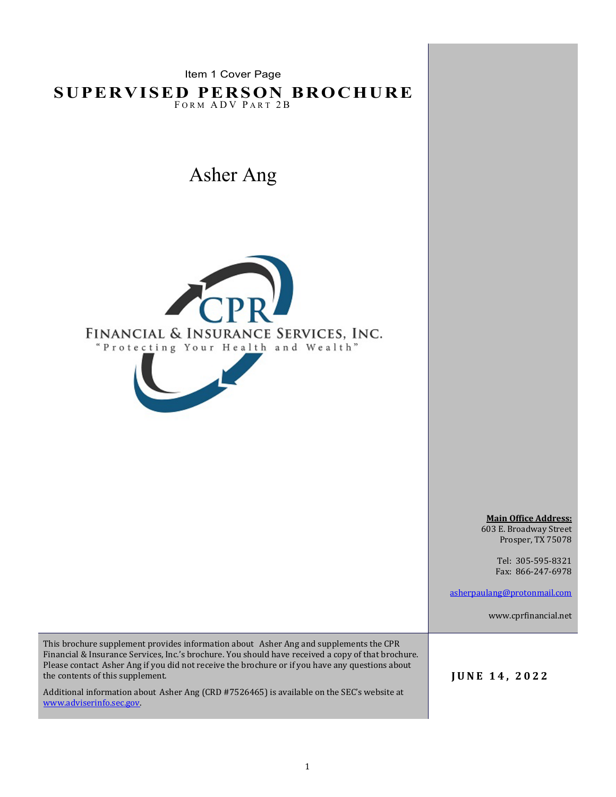Item 1 Cover Page

**SUPERVISED PERSON BROCHURE**  FORM ADV PART 2B

Asher Ang





**Main Office Address:**  603 E. Broadway Street Prosper, TX 75078

> Tel: 305-595-8321 Fax: 866-247-6978

[asherpaulang@protonmail.com](mailto:asherpaulang@protonmail.com)

www.cprfinancial.net

This brochure supplement provides information about Asher Ang and supplements the CPR Financial & Insurance Services, Inc.'s brochure. You should have received a copy of that brochure. Please contact Asher Ang if you did not receive the brochure or if you have any questions about the contents of this supplement.

Additional information about Asher Ang (CRD #7526465) is available on the SEC's website at [www.adviserinfo.sec.gov.](http://www.adviserinfo.sec.gov/)

**JUNE 14, 2022**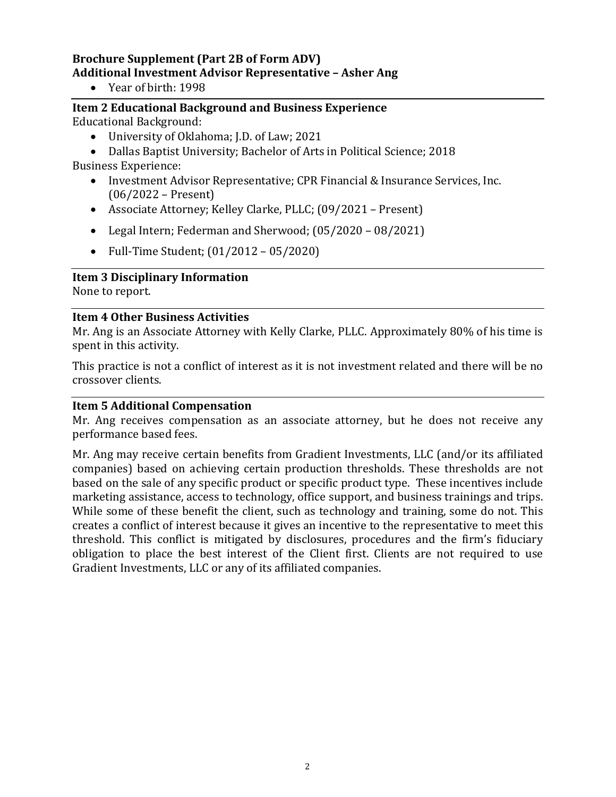# **Brochure Supplement (Part 2B of Form ADV) Additional Investment Advisor Representative – Asher Ang**

• Year of birth: 1998

### **Item 2 Educational Background and Business Experience** Educational Background:

- University of Oklahoma; J.D. of Law; 2021
- Dallas Baptist University; Bachelor of Arts in Political Science; 2018 Business Experience:
	- Investment Advisor Representative; CPR Financial & Insurance Services, Inc. (06/2022 – Present)
	- Associate Attorney; Kelley Clarke, PLLC; (09/2021 Present)
	- Legal Intern; Federman and Sherwood; (05/2020 08/2021)
	- Full-Time Student; (01/2012 05/2020)

## **Item 3 Disciplinary Information**

None to report.

#### **Item 4 Other Business Activities**

Mr. Ang is an Associate Attorney with Kelly Clarke, PLLC. Approximately 80% of his time is spent in this activity.

This practice is not a conflict of interest as it is not investment related and there will be no crossover clients.

#### **Item 5 Additional Compensation**

Mr. Ang receives compensation as an associate attorney, but he does not receive any performance based fees.

Mr. Ang may receive certain benefits from Gradient Investments, LLC (and/or its affiliated companies) based on achieving certain production thresholds. These thresholds are not based on the sale of any specific product or specific product type. These incentives include marketing assistance, access to technology, office support, and business trainings and trips. While some of these benefit the client, such as technology and training, some do not. This creates a conflict of interest because it gives an incentive to the representative to meet this threshold. This conflict is mitigated by disclosures, procedures and the firm's fiduciary obligation to place the best interest of the Client first. Clients are not required to use Gradient Investments, LLC or any of its affiliated companies.